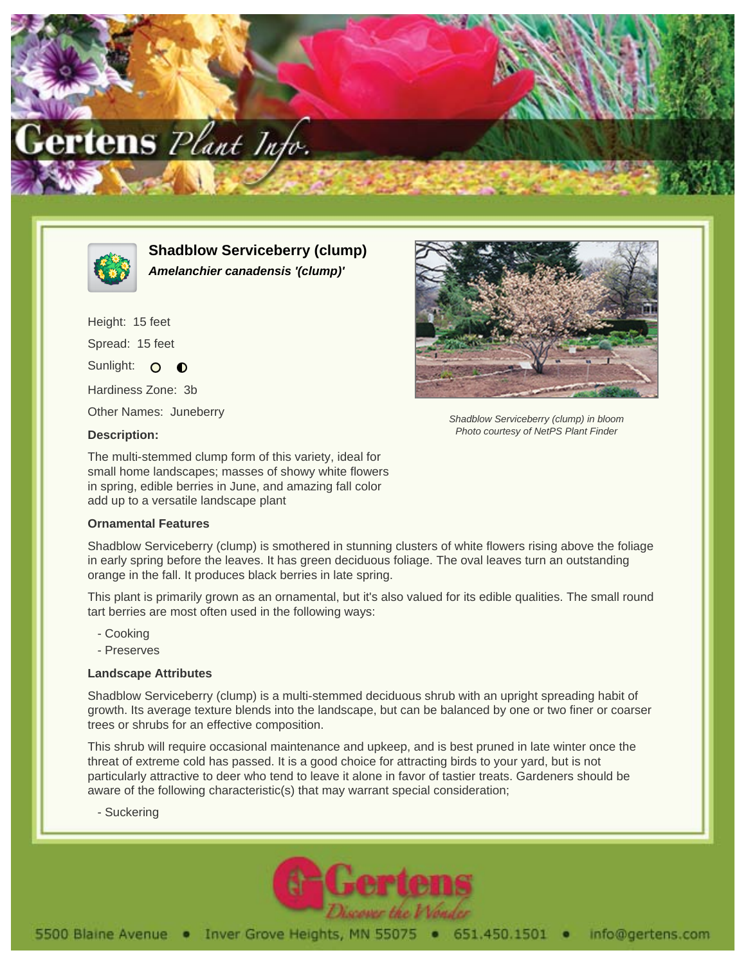



**Shadblow Serviceberry (clump) Amelanchier canadensis '(clump)'**

Height: 15 feet Spread: 15 feet Sunlight: O O Hardiness Zone: 3b

Other Names: Juneberry

## **Description:**

The multi-stemmed clump form of this variety, ideal for small home landscapes; masses of showy white flowers in spring, edible berries in June, and amazing fall color add up to a versatile landscape plant

## **Ornamental Features**

Shadblow Serviceberry (clump) is smothered in stunning clusters of white flowers rising above the foliage in early spring before the leaves. It has green deciduous foliage. The oval leaves turn an outstanding orange in the fall. It produces black berries in late spring.

This plant is primarily grown as an ornamental, but it's also valued for its edible qualities. The small round tart berries are most often used in the following ways:

- Cooking
- Preserves

## **Landscape Attributes**

Shadblow Serviceberry (clump) is a multi-stemmed deciduous shrub with an upright spreading habit of growth. Its average texture blends into the landscape, but can be balanced by one or two finer or coarser trees or shrubs for an effective composition.

This shrub will require occasional maintenance and upkeep, and is best pruned in late winter once the threat of extreme cold has passed. It is a good choice for attracting birds to your yard, but is not particularly attractive to deer who tend to leave it alone in favor of tastier treats. Gardeners should be aware of the following characteristic(s) that may warrant special consideration;

- Suckering





Shadblow Serviceberry (clump) in bloom Photo courtesy of NetPS Plant Finder